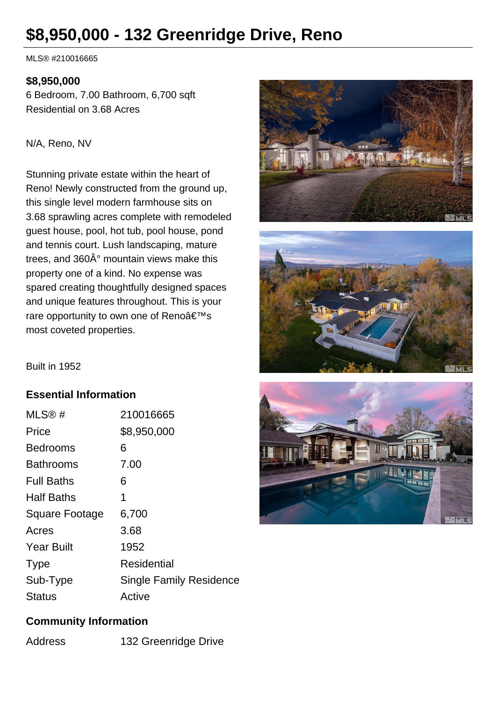# **\$8,950,000 - 132 Greenridge Drive, Reno**

MLS® #210016665

#### **\$8,950,000**

6 Bedroom, 7.00 Bathroom, 6,700 sqft Residential on 3.68 Acres

#### N/A, Reno, NV

Stunning private estate within the heart of Reno! Newly constructed from the ground up, this single level modern farmhouse sits on 3.68 sprawling acres complete with remodeled guest house, pool, hot tub, pool house, pond and tennis court. Lush landscaping, mature trees, and  $360\text{\AA}^\circ$  mountain views make this property one of a kind. No expense was spared creating thoughtfully designed spaces and unique features throughout. This is your rare opportunity to own one of Reno's most coveted properties.





Built in 1952

### **Essential Information**

| MLS@#                 | 210016665                      |
|-----------------------|--------------------------------|
| Price                 | \$8,950,000                    |
| <b>Bedrooms</b>       | 6                              |
| <b>Bathrooms</b>      | 7.00                           |
| <b>Full Baths</b>     | 6                              |
| <b>Half Baths</b>     | 1                              |
| <b>Square Footage</b> | 6,700                          |
| Acres                 | 3.68                           |
| <b>Year Built</b>     | 1952                           |
| <b>Type</b>           | <b>Residential</b>             |
| Sub-Type              | <b>Single Family Residence</b> |
| Status                | Active                         |



### **Community Information**

Address 132 Greenridge Drive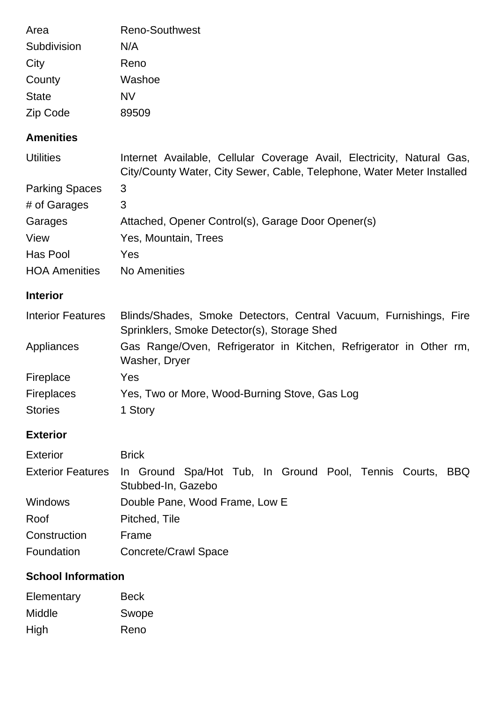| Area                     | <b>Reno-Southwest</b>                                                                                                                            |  |
|--------------------------|--------------------------------------------------------------------------------------------------------------------------------------------------|--|
| Subdivision              | N/A                                                                                                                                              |  |
| City                     | Reno                                                                                                                                             |  |
| County                   | Washoe                                                                                                                                           |  |
| <b>State</b>             | <b>NV</b>                                                                                                                                        |  |
|                          | 89509                                                                                                                                            |  |
| Zip Code                 |                                                                                                                                                  |  |
| <b>Amenities</b>         |                                                                                                                                                  |  |
| <b>Utilities</b>         | Internet Available, Cellular Coverage Avail, Electricity, Natural Gas,<br>City/County Water, City Sewer, Cable, Telephone, Water Meter Installed |  |
| <b>Parking Spaces</b>    | 3                                                                                                                                                |  |
| # of Garages             | 3                                                                                                                                                |  |
| Garages                  | Attached, Opener Control(s), Garage Door Opener(s)                                                                                               |  |
| View                     | Yes, Mountain, Trees                                                                                                                             |  |
| Has Pool                 | Yes                                                                                                                                              |  |
| <b>HOA Amenities</b>     | <b>No Amenities</b>                                                                                                                              |  |
| <b>Interior</b>          |                                                                                                                                                  |  |
| <b>Interior Features</b> | Blinds/Shades, Smoke Detectors, Central Vacuum, Furnishings, Fire<br>Sprinklers, Smoke Detector(s), Storage Shed                                 |  |
| Appliances               | Gas Range/Oven, Refrigerator in Kitchen, Refrigerator in Other rm,<br>Washer, Dryer                                                              |  |
| Fireplace                | Yes                                                                                                                                              |  |
| <b>Fireplaces</b>        | Yes, Two or More, Wood-Burning Stove, Gas Log                                                                                                    |  |
| <b>Stories</b>           | 1 Story                                                                                                                                          |  |
| <b>Exterior</b>          |                                                                                                                                                  |  |
| <b>Exterior</b>          | <b>Brick</b>                                                                                                                                     |  |
| <b>Exterior Features</b> | In Ground Spa/Hot Tub, In Ground Pool, Tennis Courts,<br>BBQ<br>Stubbed-In, Gazebo                                                               |  |
| <b>Windows</b>           | Double Pane, Wood Frame, Low E                                                                                                                   |  |
| Roof                     | Pitched, Tile                                                                                                                                    |  |

Construction Frame Foundation Concrete/Crawl Space

## **School Information**

| Elementary | <b>Beck</b> |
|------------|-------------|
| Middle     | Swope       |
| High       | Reno        |